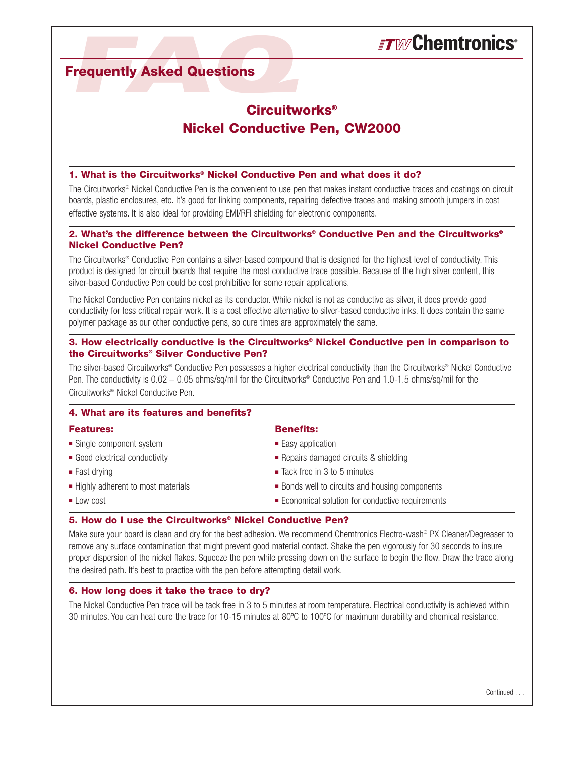# **Frequently Asked Questions**

# **Circuitworks® Nickel Conductive Pen, CW2000**

#### **1. What is the Circuitworks® Nickel Conductive Pen and what does it do?**

The Circuitworks® Nickel Conductive Pen is the convenient to use pen that makes instant conductive traces and coatings on circuit boards, plastic enclosures, etc. It's good for linking components, repairing defective traces and making smooth jumpers in cost effective systems. It is also ideal for providing EMI/RFI shielding for electronic components.

### **2. What's the difference between the Circuitworks® Conductive Pen and the Circuitworks® Nickel Conductive Pen?**

The Circuitworks® Conductive Pen contains a silver-based compound that is designed for the highest level of conductivity. This product is designed for circuit boards that require the most conductive trace possible. Because of the high silver content, this silver-based Conductive Pen could be cost prohibitive for some repair applications.

The Nickel Conductive Pen contains nickel as its conductor. While nickel is not as conductive as silver, it does provide good conductivity for less critical repair work. It is a cost effective alternative to silver-based conductive inks. It does contain the same polymer package as our other conductive pens, so cure times are approximately the same.

### **3. How electrically conductive is the Circuitworks® Nickel Conductive pen in comparison to the Circuitworks® Silver Conductive Pen?**

The silver-based Circuitworks® Conductive Pen possesses a higher electrical conductivity than the Circuitworks® Nickel Conductive Pen. The conductivity is 0.02 – 0.05 ohms/sq/mil for the Circuitworks® Conductive Pen and 1.0-1.5 ohms/sq/mil for the Circuitworks® Nickel Conductive Pen.

#### **4. What are its features and benefits?**

- Single component system  **a** Easy application
- 
- 
- 
- 

#### **Features: Benefits:**

- 
- Good electrical conductivity Repairs damaged circuits & shielding
- Fast drying  **a** Tack free in 3 to 5 minutes
- Highly adherent to most materials Bonds well to circuits and housing components
- Low cost  **and a a set of a a set of a set of a set of a set of a set of a set of a set of a set of a set of a set of a set of a set of a set of a set of a set of a set of a set of a set of a set of a set of a set of a**

#### **5. How do I use the Circuitworks® Nickel Conductive Pen?**

Make sure your board is clean and dry for the best adhesion. We recommend Chemtronics Electro-wash<sup>®</sup> PX Cleaner/Degreaser to remove any surface contamination that might prevent good material contact. Shake the pen vigorously for 30 seconds to insure proper dispersion of the nickel flakes. Squeeze the pen while pressing down on the surface to begin the flow. Draw the trace along the desired path. It's best to practice with the pen before attempting detail work.

#### **6. How long does it take the trace to dry?**

The Nickel Conductive Pen trace will be tack free in 3 to 5 minutes at room temperature. Electrical conductivity is achieved within 30 minutes. You can heat cure the trace for 10-15 minutes at 80ºC to 100ºC for maximum durability and chemical resistance.

Continued .